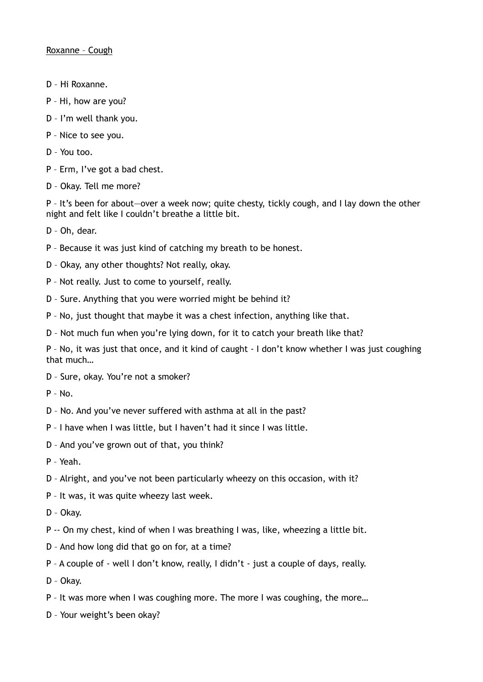- D Hi Roxanne.
- P Hi, how are you?
- D I'm well thank you.
- P Nice to see you.
- D You too.
- P Erm, I've got a bad chest.
- D Okay. Tell me more?

P - It's been for about-over a week now; quite chesty, tickly cough, and I lay down the other night and felt like I couldn't breathe a little bit.

D – Oh, dear.

- P Because it was just kind of catching my breath to be honest.
- D Okay, any other thoughts? Not really, okay.
- P Not really. Just to come to yourself, really.
- D Sure. Anything that you were worried might be behind it?
- P No, just thought that maybe it was a chest infection, anything like that.
- D Not much fun when you're lying down, for it to catch your breath like that?

P – No, it was just that once, and it kind of caught - I don't know whether I was just coughing that much…

- D Sure, okay. You're not a smoker?
- P No.
- D No. And you've never suffered with asthma at all in the past?
- P I have when I was little, but I haven't had it since I was little.
- D And you've grown out of that, you think?
- P Yeah.
- D Alright, and you've not been particularly wheezy on this occasion, with it?
- P It was, it was quite wheezy last week.
- D Okay.
- P -- On my chest, kind of when I was breathing I was, like, wheezing a little bit.
- D And how long did that go on for, at a time?
- P A couple of well I don't know, really, I didn't just a couple of days, really.
- D Okay.
- P It was more when I was coughing more. The more I was coughing, the more…
- D Your weight's been okay?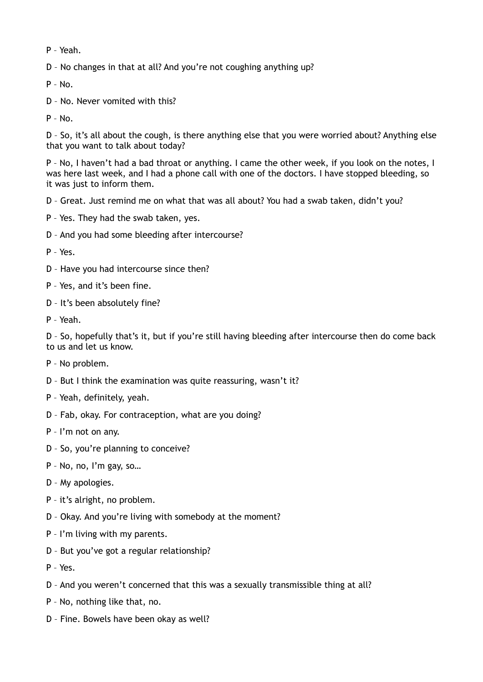P – Yeah.

D – No changes in that at all? And you're not coughing anything up?

P – No.

D – No. Never vomited with this?

P – No.

D – So, it's all about the cough, is there anything else that you were worried about? Anything else that you want to talk about today?

P – No, I haven't had a bad throat or anything. I came the other week, if you look on the notes, I was here last week, and I had a phone call with one of the doctors. I have stopped bleeding, so it was just to inform them.

D – Great. Just remind me on what that was all about? You had a swab taken, didn't you?

- P Yes. They had the swab taken, yes.
- D And you had some bleeding after intercourse?

P – Yes.

- D Have you had intercourse since then?
- P Yes, and it's been fine.
- D It's been absolutely fine?
- P Yeah.

D – So, hopefully that's it, but if you're still having bleeding after intercourse then do come back to us and let us know.

- P No problem.
- D But I think the examination was quite reassuring, wasn't it?
- P Yeah, definitely, yeah.
- D Fab, okay. For contraception, what are you doing?
- P I'm not on any.
- D So, you're planning to conceive?
- P No, no, I'm gay, so…
- D My apologies.
- P it's alright, no problem.
- D Okay. And you're living with somebody at the moment?
- P I'm living with my parents.
- D But you've got a regular relationship?
- P Yes.
- D And you weren't concerned that this was a sexually transmissible thing at all?
- P No, nothing like that, no.
- D Fine. Bowels have been okay as well?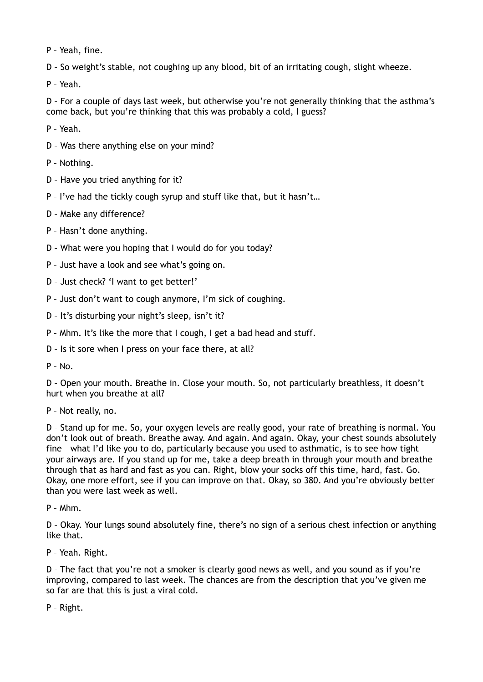P – Yeah, fine.

D – So weight's stable, not coughing up any blood, bit of an irritating cough, slight wheeze.

P – Yeah.

D – For a couple of days last week, but otherwise you're not generally thinking that the asthma's come back, but you're thinking that this was probably a cold, I guess?

P – Yeah.

D – Was there anything else on your mind?

P – Nothing.

D – Have you tried anything for it?

P – I've had the tickly cough syrup and stuff like that, but it hasn't…

D – Make any difference?

P – Hasn't done anything.

D – What were you hoping that I would do for you today?

P – Just have a look and see what's going on.

D – Just check? 'I want to get better!'

P – Just don't want to cough anymore, I'm sick of coughing.

D – It's disturbing your night's sleep, isn't it?

P – Mhm. It's like the more that I cough, I get a bad head and stuff.

D – Is it sore when I press on your face there, at all?

P – No.

D – Open your mouth. Breathe in. Close your mouth. So, not particularly breathless, it doesn't hurt when you breathe at all?

P – Not really, no.

D – Stand up for me. So, your oxygen levels are really good, your rate of breathing is normal. You don't look out of breath. Breathe away. And again. And again. Okay, your chest sounds absolutely fine – what I'd like you to do, particularly because you used to asthmatic, is to see how tight your airways are. If you stand up for me, take a deep breath in through your mouth and breathe through that as hard and fast as you can. Right, blow your socks off this time, hard, fast. Go. Okay, one more effort, see if you can improve on that. Okay, so 380. And you're obviously better than you were last week as well.

P – Mhm.

D – Okay. Your lungs sound absolutely fine, there's no sign of a serious chest infection or anything like that.

P – Yeah. Right.

D – The fact that you're not a smoker is clearly good news as well, and you sound as if you're improving, compared to last week. The chances are from the description that you've given me so far are that this is just a viral cold.

P – Right.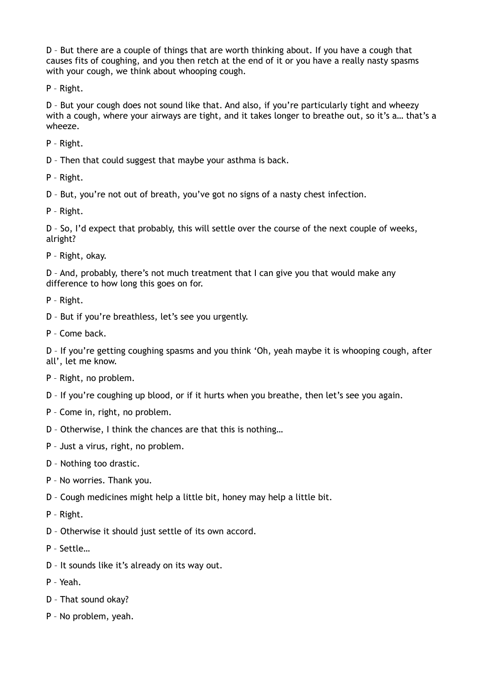D – But there are a couple of things that are worth thinking about. If you have a cough that causes fits of coughing, and you then retch at the end of it or you have a really nasty spasms with your cough, we think about whooping cough.

P – Right.

D – But your cough does not sound like that. And also, if you're particularly tight and wheezy with a cough, where your airways are tight, and it takes longer to breathe out, so it's a… that's a wheeze.

P – Right.

D – Then that could suggest that maybe your asthma is back.

P – Right.

D – But, you're not out of breath, you've got no signs of a nasty chest infection.

P – Right.

D – So, I'd expect that probably, this will settle over the course of the next couple of weeks, alright?

P – Right, okay.

D – And, probably, there's not much treatment that I can give you that would make any difference to how long this goes on for.

P – Right.

D – But if you're breathless, let's see you urgently.

P – Come back.

D – If you're getting coughing spasms and you think 'Oh, yeah maybe it is whooping cough, after all', let me know.

- P Right, no problem.
- D If you're coughing up blood, or if it hurts when you breathe, then let's see you again.
- P Come in, right, no problem.
- D Otherwise, I think the chances are that this is nothing…
- P Just a virus, right, no problem.
- D Nothing too drastic.
- P No worries. Thank you.
- D Cough medicines might help a little bit, honey may help a little bit.
- P Right.
- D Otherwise it should just settle of its own accord.
- P Settle…
- D It sounds like it's already on its way out.
- P Yeah.
- D That sound okay?
- P No problem, yeah.